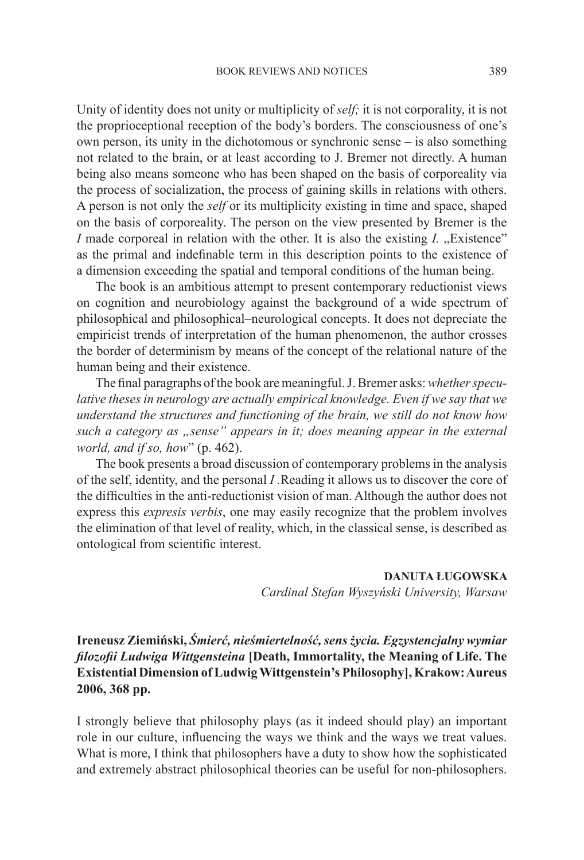Unity of identity does not unity or multiplicity of *self;* it is not corporality, it is not the proprioceptional reception of the body's borders. The consciousness of one's own person, its unity in the dichotomous or synchronic sense – is also something not related to the brain, or at least according to J. Bremer not directly. A human being also means someone who has been shaped on the basis of corporeality via the process of socialization, the process of gaining skills in relations with others. A person is not only the *self* or its multiplicity existing in time and space, shaped on the basis of corporeality. The person on the view presented by Bremer is the *I* made corporeal in relation with the other. It is also the existing *I*. "Existence" as the primal and indefinable term in this description points to the existence of a dimension exceeding the spatial and temporal conditions of the human being.

The book is an ambitious attempt to present contemporary reductionist views on cognition and neurobiology against the background of a wide spectrum of philosophical and philosophical–neurological concepts. It does not depreciate the empiricist trends of interpretation of the human phenomenon, the author crosses the border of determinism by means of the concept of the relational nature of the human being and their existence.

The final paragraphs of the book are meaningful. J. Bremer asks: *whether specu*lative theses in neurology are actually empirical knowledge. Even if we say that we *understand the structures and functioning of the brain, we still do not know how such a category as "sense" appears in it; does meaning appear in the external world, and if so, how*" (p. 462).

The book presents a broad discussion of contemporary problems in the analysis of the self, identity, and the personal *I .*Reading it allows us to discover the core of the difficulties in the anti-reductionist vision of man. Although the author does not express this *expresis verbis*, one may easily recognize that the problem involves the elimination of that level of reality, which, in the classical sense, is described as ontological from scientific interest.

## **DANUTA ŁUGOWSKA**

*Cardinal Stefan Wyszyński University, Warsaw*

**Ireneusz Ziemiński,** *Śmierć, nieśmiertelność, sens życia. Egzystencjalny wymiar filozofii Ludwiga Wittgensteina* **[Death, Immortality, the Meaning of Life. The Existential Dimension of Ludwig Wittgenstein's Philosophy], Krakow: Aureus 2006, 368 pp.**

I strongly believe that philosophy plays (as it indeed should play) an important role in our culture, influencing the ways we think and the ways we treat values. What is more, I think that philosophers have a duty to show how the sophisticated and extremely abstract philosophical theories can be useful for non-philosophers.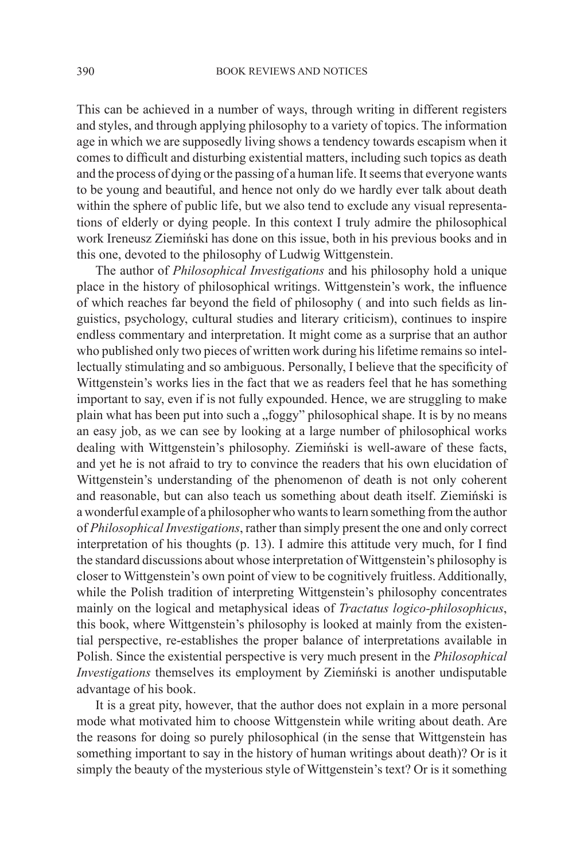This can be achieved in a number of ways, through writing in different registers and styles, and through applying philosophy to a variety of topics. The information age in which we are supposedly living shows a tendency towards escapism when it comes to difficult and disturbing existential matters, including such topics as death and the process of dying or the passing of a human life. It seems that everyone wants to be young and beautiful, and hence not only do we hardly ever talk about death within the sphere of public life, but we also tend to exclude any visual representations of elderly or dying people. In this context I truly admire the philosophical work Ireneusz Ziemiński has done on this issue, both in his previous books and in this one, devoted to the philosophy of Ludwig Wittgenstein.

The author of *Philosophical Investigations* and his philosophy hold a unique place in the history of philosophical writings. Wittgenstein's work, the influence of which reaches far beyond the field of philosophy ( and into such fields as linguistics, psychology, cultural studies and literary criticism), continues to inspire endless commentary and interpretation. It might come as a surprise that an author who published only two pieces of written work during his lifetime remains so intellectually stimulating and so ambiguous. Personally, I believe that the specificity of Wittgenstein's works lies in the fact that we as readers feel that he has something important to say, even if is not fully expounded. Hence, we are struggling to make plain what has been put into such a "foggy" philosophical shape. It is by no means an easy job, as we can see by looking at a large number of philosophical works dealing with Wittgenstein's philosophy. Ziemiński is well-aware of these facts, and yet he is not afraid to try to convince the readers that his own elucidation of Wittgenstein's understanding of the phenomenon of death is not only coherent and reasonable, but can also teach us something about death itself. Ziemiński is a wonderful example of a philosopher who wants to learn something from the author of *Philosophical Investigations*, rather than simply present the one and only correct interpretation of his thoughts (p. 13). I admire this attitude very much, for I find the standard discussions about whose interpretation of Wittgenstein's philosophy is closer to Wittgenstein's own point of view to be cognitively fruitless. Additionally, while the Polish tradition of interpreting Wittgenstein's philosophy concentrates mainly on the logical and metaphysical ideas of *Tractatus logico-philosophicus*, this book, where Wittgenstein's philosophy is looked at mainly from the existential perspective, re-establishes the proper balance of interpretations available in Polish. Since the existential perspective is very much present in the *Philosophical Investigations* themselves its employment by Ziemiński is another undisputable advantage of his book.

It is a great pity, however, that the author does not explain in a more personal mode what motivated him to choose Wittgenstein while writing about death. Are the reasons for doing so purely philosophical (in the sense that Wittgenstein has something important to say in the history of human writings about death)? Or is it simply the beauty of the mysterious style of Wittgenstein's text? Or is it something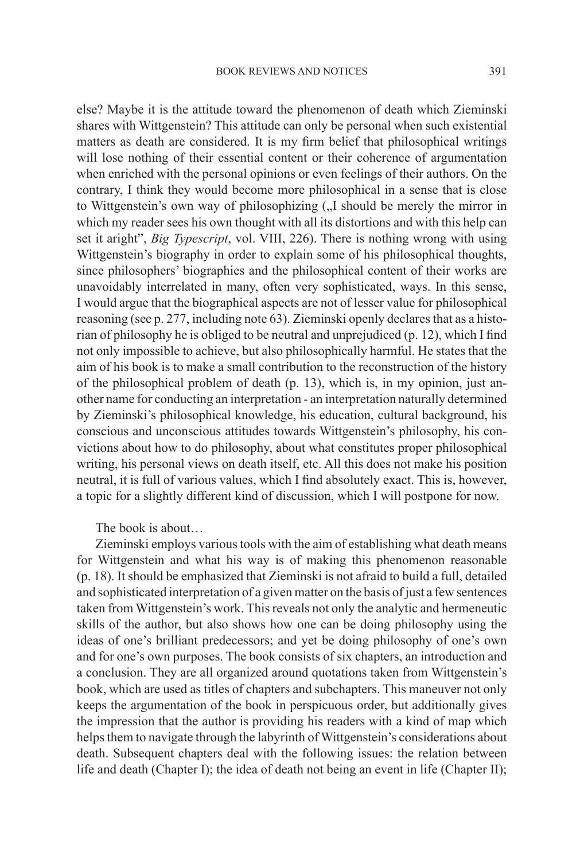else? Maybe it is the attitude toward the phenomenon of death which Zieminski shares with Wittgenstein? This attitude can only be personal when such existential matters as death are considered. It is my firm belief that philosophical writings will lose nothing of their essential content or their coherence of argumentation when enriched with the personal opinions or even feelings of their authors. On the contrary, I think they would become more philosophical in a sense that is close to Wittgenstein's own way of philosophizing ( $\overline{N}$  should be merely the mirror in which my reader sees his own thought with all its distortions and with this help can set it aright", *Big Typescript*, vol. VIII, 226). There is nothing wrong with using Wittgenstein's biography in order to explain some of his philosophical thoughts, since philosophers' biographies and the philosophical content of their works are unavoidably interrelated in many, often very sophisticated, ways. In this sense, I would argue that the biographical aspects are not of lesser value for philosophical reasoning (see p. 277, including note 63). Zieminski openly declares that as a historian of philosophy he is obliged to be neutral and unprejudiced (p. 12), which I find not only impossible to achieve, but also philosophically harmful. He states that the aim of his book is to make a small contribution to the reconstruction of the history of the philosophical problem of death (p. 13), which is, in my opinion, just another name for conducting an interpretation - an interpretation naturally determined by Zieminski's philosophical knowledge, his education, cultural background, his conscious and unconscious attitudes towards Wittgenstein's philosophy, his convictions about how to do philosophy, about what constitutes proper philosophical writing, his personal views on death itself, etc. All this does not make his position neutral, it is full of various values, which I find absolutely exact. This is, however, a topic for a slightly different kind of discussion, which I will postpone for now.

The book is about

Zieminski employs various tools with the aim of establishing what death means for Wittgenstein and what his way is of making this phenomenon reasonable (p. 18). It should be emphasized that Zieminski is not afraid to build a full, detailed and sophisticated interpretation of a given matter on the basis of just a few sentences taken from Wittgenstein's work. This reveals not only the analytic and hermeneutic skills of the author, but also shows how one can be doing philosophy using the ideas of one's brilliant predecessors; and yet be doing philosophy of one's own and for one's own purposes. The book consists of six chapters, an introduction and a conclusion. They are all organized around quotations taken from Wittgenstein's book, which are used as titles of chapters and subchapters. This maneuver not only keeps the argumentation of the book in perspicuous order, but additionally gives the impression that the author is providing his readers with a kind of map which helps them to navigate through the labyrinth of Wittgenstein's considerations about death. Subsequent chapters deal with the following issues: the relation between life and death (Chapter I); the idea of death not being an event in life (Chapter II);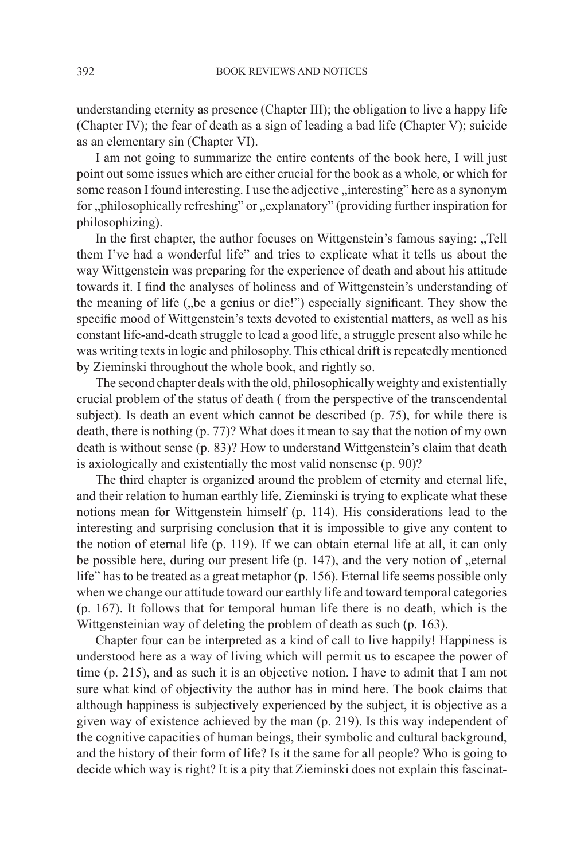understanding eternity as presence (Chapter III); the obligation to live a happy life (Chapter IV); the fear of death as a sign of leading a bad life (Chapter V); suicide as an elementary sin (Chapter VI).

I am not going to summarize the entire contents of the book here, I will just point out some issues which are either crucial for the book as a whole, or which for some reason I found interesting. I use the adjective "interesting" here as a synonym for "philosophically refreshing" or "explanatory" (providing further inspiration for philosophizing).

In the first chapter, the author focuses on Wittgenstein's famous saying: "Tell them I've had a wonderful life" and tries to explicate what it tells us about the way Wittgenstein was preparing for the experience of death and about his attitude towards it. I find the analyses of holiness and of Wittgenstein's understanding of the meaning of life ("be a genius or die!") especially significant. They show the specific mood of Wittgenstein's texts devoted to existential matters, as well as his constant life-and-death struggle to lead a good life, a struggle present also while he was writing texts in logic and philosophy. This ethical drift is repeatedly mentioned by Zieminski throughout the whole book, and rightly so.

The second chapter deals with the old, philosophically weighty and existentially crucial problem of the status of death ( from the perspective of the transcendental subject). Is death an event which cannot be described (p. 75), for while there is death, there is nothing (p. 77)? What does it mean to say that the notion of my own death is without sense (p. 83)? How to understand Wittgenstein's claim that death is axiologically and existentially the most valid nonsense (p. 90)?

The third chapter is organized around the problem of eternity and eternal life, and their relation to human earthly life. Zieminski is trying to explicate what these notions mean for Wittgenstein himself (p. 114). His considerations lead to the interesting and surprising conclusion that it is impossible to give any content to the notion of eternal life (p. 119). If we can obtain eternal life at all, it can only be possible here, during our present life  $(p. 147)$ , and the very notion of  $\mathcal{L}$  eternal life" has to be treated as a great metaphor (p. 156). Eternal life seems possible only when we change our attitude toward our earthly life and toward temporal categories (p. 167). It follows that for temporal human life there is no death, which is the Wittgensteinian way of deleting the problem of death as such (p. 163).

Chapter four can be interpreted as a kind of call to live happily! Happiness is understood here as a way of living which will permit us to escapee the power of time (p. 215), and as such it is an objective notion. I have to admit that I am not sure what kind of objectivity the author has in mind here. The book claims that although happiness is subjectively experienced by the subject, it is objective as a given way of existence achieved by the man (p. 219). Is this way independent of the cognitive capacities of human beings, their symbolic and cultural background, and the history of their form of life? Is it the same for all people? Who is going to decide which way is right? It is a pity that Zieminski does not explain this fascinat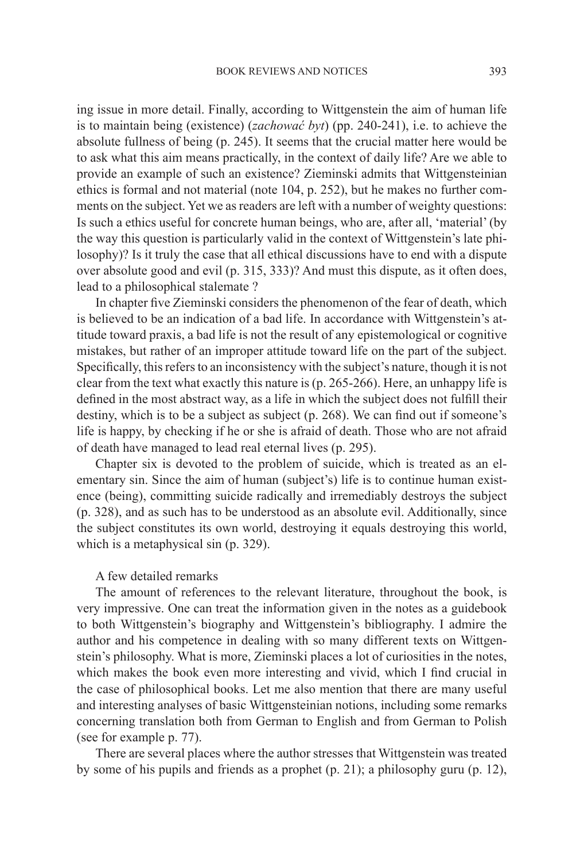ing issue in more detail. Finally, according to Wittgenstein the aim of human life is to maintain being (existence) (*zachować byt*) (pp. 240-241), i.e. to achieve the absolute fullness of being (p. 245). It seems that the crucial matter here would be to ask what this aim means practically, in the context of daily life? Are we able to provide an example of such an existence? Zieminski admits that Wittgensteinian ethics is formal and not material (note 104, p. 252), but he makes no further comments on the subject. Yet we as readers are left with a number of weighty questions: Is such a ethics useful for concrete human beings, who are, after all, 'material' (by the way this question is particularly valid in the context of Wittgenstein's late philosophy)? Is it truly the case that all ethical discussions have to end with a dispute over absolute good and evil (p. 315, 333)? And must this dispute, as it often does, lead to a philosophical stalemate ?

In chapter five Zieminski considers the phenomenon of the fear of death, which is believed to be an indication of a bad life. In accordance with Wittgenstein's attitude toward praxis, a bad life is not the result of any epistemological or cognitive mistakes, but rather of an improper attitude toward life on the part of the subject. Specifically, this refers to an inconsistency with the subject's nature, though it is not clear from the text what exactly this nature is  $(p. 265-266)$ . Here, an unhappy life is defined in the most abstract way, as a life in which the subject does not fulfill their destiny, which is to be a subject as subject (p. 268). We can find out if someone's life is happy, by checking if he or she is afraid of death. Those who are not afraid of death have managed to lead real eternal lives (p. 295).

Chapter six is devoted to the problem of suicide, which is treated as an elementary sin. Since the aim of human (subject's) life is to continue human existence (being), committing suicide radically and irremediably destroys the subject (p. 328), and as such has to be understood as an absolute evil. Additionally, since the subject constitutes its own world, destroying it equals destroying this world, which is a metaphysical sin (p. 329).

## A few detailed remarks

The amount of references to the relevant literature, throughout the book, is very impressive. One can treat the information given in the notes as a guidebook to both Wittgenstein's biography and Wittgenstein's bibliography. I admire the author and his competence in dealing with so many different texts on Wittgenstein's philosophy. What is more, Zieminski places a lot of curiosities in the notes, which makes the book even more interesting and vivid, which I find crucial in the case of philosophical books. Let me also mention that there are many useful and interesting analyses of basic Wittgensteinian notions, including some remarks concerning translation both from German to English and from German to Polish (see for example p. 77).

There are several places where the author stresses that Wittgenstein was treated by some of his pupils and friends as a prophet (p. 21); a philosophy guru (p. 12),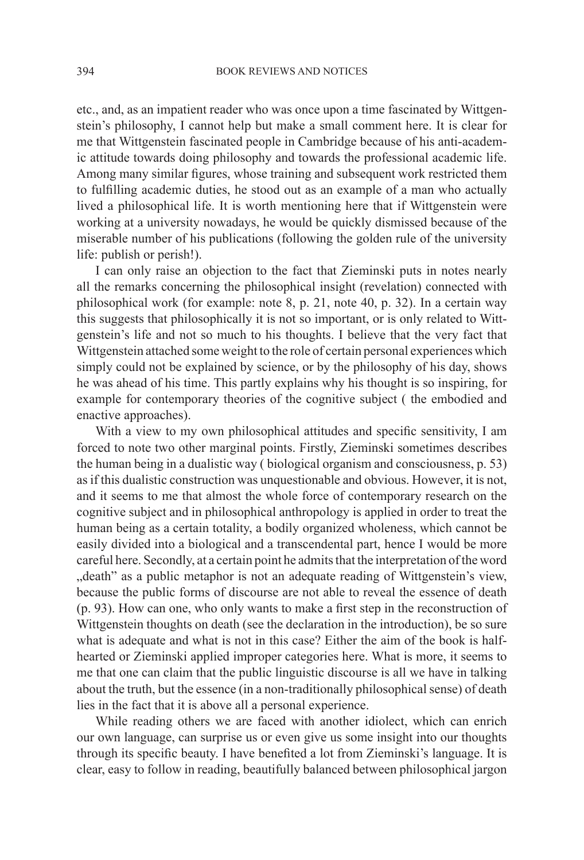etc., and, as an impatient reader who was once upon a time fascinated by Wittgenstein's philosophy, I cannot help but make a small comment here. It is clear for me that Wittgenstein fascinated people in Cambridge because of his anti-academic attitude towards doing philosophy and towards the professional academic life. Among many similar figures, whose training and subsequent work restricted them to fulfilling academic duties, he stood out as an example of a man who actually lived a philosophical life. It is worth mentioning here that if Wittgenstein were working at a university nowadays, he would be quickly dismissed because of the miserable number of his publications (following the golden rule of the university life: publish or perish!).

I can only raise an objection to the fact that Zieminski puts in notes nearly all the remarks concerning the philosophical insight (revelation) connected with philosophical work (for example: note 8, p. 21, note 40, p. 32). In a certain way this suggests that philosophically it is not so important, or is only related to Wittgenstein's life and not so much to his thoughts. I believe that the very fact that Wittgenstein attached some weight to the role of certain personal experiences which simply could not be explained by science, or by the philosophy of his day, shows he was ahead of his time. This partly explains why his thought is so inspiring, for example for contemporary theories of the cognitive subject ( the embodied and enactive approaches).

With a view to my own philosophical attitudes and specific sensitivity, I am forced to note two other marginal points. Firstly, Zieminski sometimes describes the human being in a dualistic way ( biological organism and consciousness, p. 53) as if this dualistic construction was unquestionable and obvious. However, it is not, and it seems to me that almost the whole force of contemporary research on the cognitive subject and in philosophical anthropology is applied in order to treat the human being as a certain totality, a bodily organized wholeness, which cannot be easily divided into a biological and a transcendental part, hence I would be more careful here. Secondly, at a certain point he admits that the interpretation of the word ", death" as a public metaphor is not an adequate reading of Wittgenstein's view, because the public forms of discourse are not able to reveal the essence of death (p. 93). How can one, who only wants to make a first step in the reconstruction of Wittgenstein thoughts on death (see the declaration in the introduction), be so sure what is adequate and what is not in this case? Either the aim of the book is halfhearted or Zieminski applied improper categories here. What is more, it seems to me that one can claim that the public linguistic discourse is all we have in talking about the truth, but the essence (in a non-traditionally philosophical sense) of death lies in the fact that it is above all a personal experience.

While reading others we are faced with another idiolect, which can enrich our own language, can surprise us or even give us some insight into our thoughts through its specific beauty. I have benefited a lot from Zieminski's language. It is clear, easy to follow in reading, beautifully balanced between philosophical jargon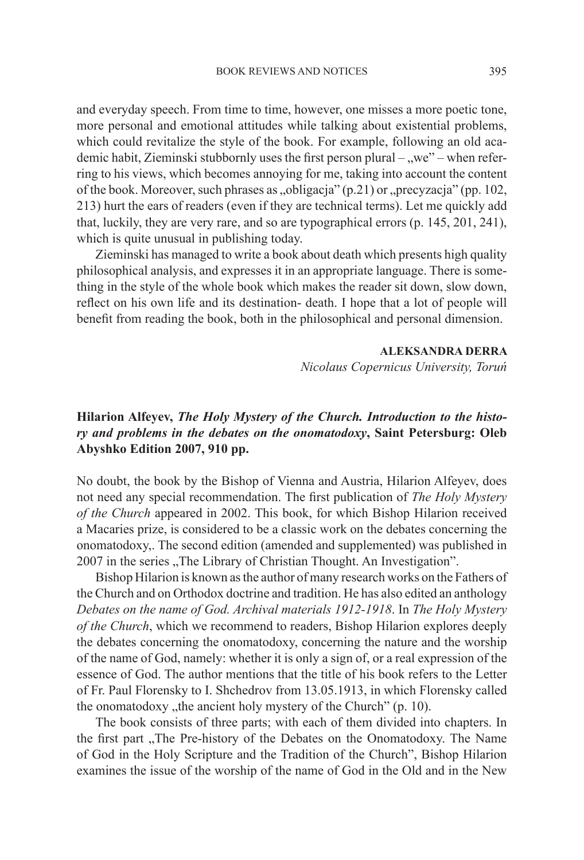and everyday speech. From time to time, however, one misses a more poetic tone, more personal and emotional attitudes while talking about existential problems, which could revitalize the style of the book. For example, following an old academic habit, Zieminski stubbornly uses the first person plural –  $\alpha$ we" – when referring to his views, which becomes annoying for me, taking into account the content of the book. Moreover, such phrases as  $\alpha$ , obligacia" (p.21) or  $\alpha$  precyzacia" (pp. 102, 213) hurt the ears of readers (even if they are technical terms). Let me quickly add that, luckily, they are very rare, and so are typographical errors (p. 145, 201, 241), which is quite unusual in publishing today.

Zieminski has managed to write a book about death which presents high quality philosophical analysis, and expresses it in an appropriate language. There is something in the style of the whole book which makes the reader sit down, slow down, reflect on his own life and its destination- death. I hope that a lot of people will benefit from reading the book, both in the philosophical and personal dimension.

## **ALEKSANDRA DERRA**

*Nicolaus Copernicus University, Toruń*

## **Hilarion Alfeyev,** *The Holy Mystery of the Church. Introduction to the history and problems in the debates on the onomatodoxy***, Saint Petersburg: Oleb Abyshko Edition 2007, 910 pp.**

No doubt, the book by the Bishop of Vienna and Austria, Hilarion Alfeyev, does not need any special recommendation. The first publication of *The Holy Mystery of the Church* appeared in 2002. This book, for which Bishop Hilarion received a Macaries prize, is considered to be a classic work on the debates concerning the onomatodoxy,. The second edition (amended and supplemented) was published in 2007 in the series "The Library of Christian Thought. An Investigation".

Bishop Hilarion is known as the author of many research works on the Fathers of the Church and on Orthodox doctrine and tradition. He has also edited an anthology *Debates on the name of God. Archival materials 1912-1918*. In *The Holy Mystery of the Church*, which we recommend to readers, Bishop Hilarion explores deeply the debates concerning the onomatodoxy, concerning the nature and the worship of the name of God, namely: whether it is only a sign of, or a real expression of the essence of God. The author mentions that the title of his book refers to the Letter of Fr. Paul Florensky to I. Shchedrov from 13.05.1913, in which Florensky called the onomatodoxy  $\mu$ , the ancient holy mystery of the Church" (p. 10).

The book consists of three parts; with each of them divided into chapters. In the first part "The Pre-history of the Debates on the Onomatodoxy. The Name of God in the Holy Scripture and the Tradition of the Church", Bishop Hilarion examines the issue of the worship of the name of God in the Old and in the New